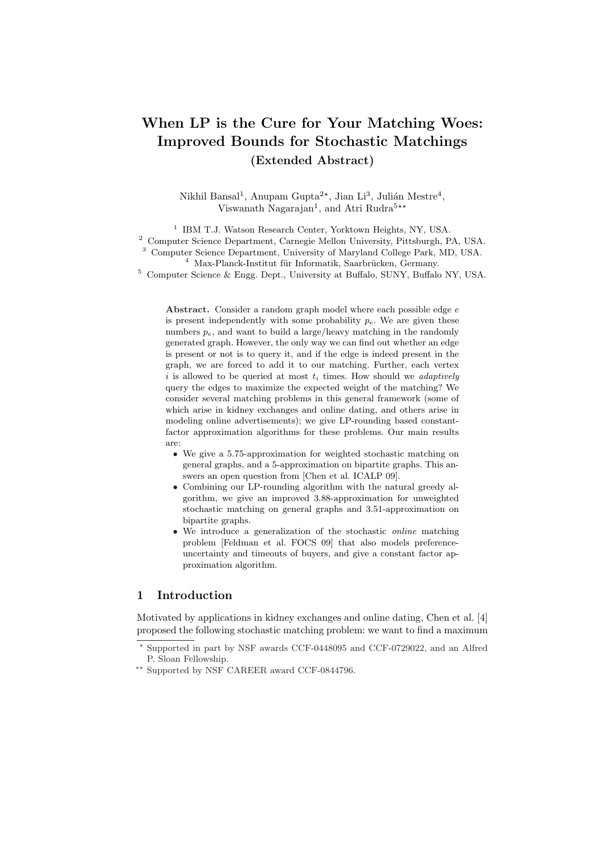# When LP is the Cure for Your Matching Woes: Improved Bounds for Stochastic Matchings (Extended Abstract)

Nikhil Bansal<sup>1</sup>, Anupam Gupta<sup>2\*</sup>, Jian Li<sup>3</sup>, Julián Mestre<sup>4</sup>, Viswanath Nagarajan<sup>1</sup>, and Atri Rudra<sup>5\*\*</sup>

<sup>1</sup> IBM T.J. Watson Research Center, Yorktown Heights, NY, USA. Computer Science Department, Carnegie Mellon University, Pittsburgh, PA, USA. Computer Science Department, University of Maryland College Park, MD, USA. Max-Planck-Institut für Informatik, Saarbrücken, Germany. Computer Science & Engg. Dept., University at Buffalo, SUNY, Buffalo NY, USA.

Abstract. Consider a random graph model where each possible edge  $e$ is present independently with some probability  $p_e$ . We are given these numbers  $p_e$ , and want to build a large/heavy matching in the randomly generated graph. However, the only way we can find out whether an edge is present or not is to query it, and if the edge is indeed present in the graph, we are forced to add it to our matching. Further, each vertex i is allowed to be queried at most  $t_i$  times. How should we *adaptively* query the edges to maximize the expected weight of the matching? We consider several matching problems in this general framework (some of which arise in kidney exchanges and online dating, and others arise in modeling online advertisements); we give LP-rounding based constantfactor approximation algorithms for these problems. Our main results are:

- We give a 5.75-approximation for weighted stochastic matching on general graphs, and a 5-approximation on bipartite graphs. This answers an open question from [Chen et al. ICALP 09].
- Combining our LP-rounding algorithm with the natural greedy algorithm, we give an improved 3.88-approximation for unweighted stochastic matching on general graphs and 3.51-approximation on bipartite graphs.
- We introduce a generalization of the stochastic *online* matching problem [Feldman et al. FOCS 09] that also models preferenceuncertainty and timeouts of buyers, and give a constant factor approximation algorithm.

### 1 Introduction

Motivated by applications in kidney exchanges and online dating, Chen et al. [4] proposed the following stochastic matching problem: we want to find a maximum

<sup>?</sup> Supported in part by NSF awards CCF-0448095 and CCF-0729022, and an Alfred P. Sloan Fellowship.

<sup>\*\*</sup> Supported by NSF CAREER award CCF-0844796.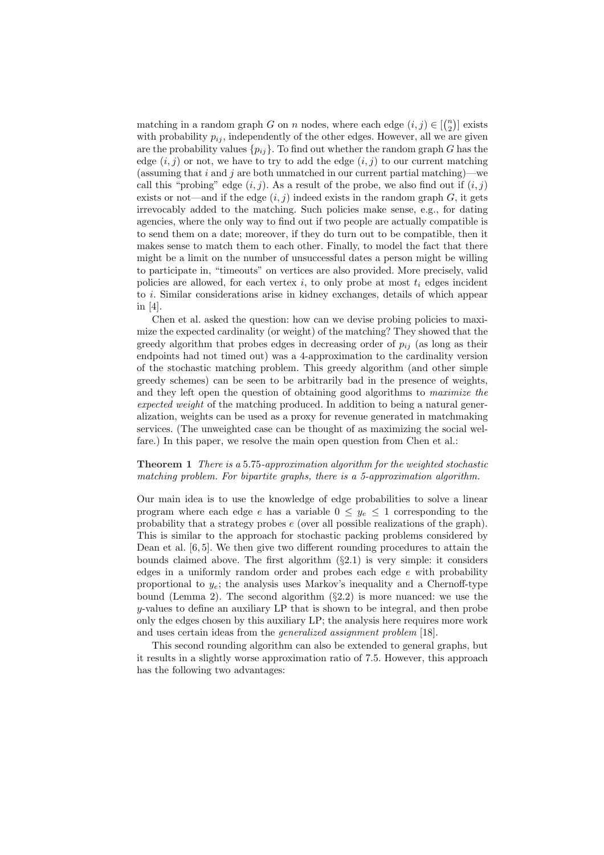matching in a random graph G on n nodes, where each edge  $(i, j) \in \left[\binom{n}{2}\right]$ ¢ ] exists with probability  $p_{ij}$ , independently of the other edges. However, all we are given are the probability values  $\{p_{ij}\}\$ . To find out whether the random graph G has the edge  $(i, j)$  or not, we have to try to add the edge  $(i, j)$  to our current matching (assuming that i and j are both unmatched in our current partial matching)—we call this "probing" edge  $(i, j)$ . As a result of the probe, we also find out if  $(i, j)$ exists or not—and if the edge  $(i, j)$  indeed exists in the random graph  $G$ , it gets irrevocably added to the matching. Such policies make sense, e.g., for dating agencies, where the only way to find out if two people are actually compatible is to send them on a date; moreover, if they do turn out to be compatible, then it makes sense to match them to each other. Finally, to model the fact that there might be a limit on the number of unsuccessful dates a person might be willing to participate in, "timeouts" on vertices are also provided. More precisely, valid policies are allowed, for each vertex i, to only probe at most  $t_i$  edges incident to i. Similar considerations arise in kidney exchanges, details of which appear in [4].

Chen et al. asked the question: how can we devise probing policies to maximize the expected cardinality (or weight) of the matching? They showed that the greedy algorithm that probes edges in decreasing order of  $p_{ij}$  (as long as their endpoints had not timed out) was a 4-approximation to the cardinality version of the stochastic matching problem. This greedy algorithm (and other simple greedy schemes) can be seen to be arbitrarily bad in the presence of weights, and they left open the question of obtaining good algorithms to maximize the expected weight of the matching produced. In addition to being a natural generalization, weights can be used as a proxy for revenue generated in matchmaking services. (The unweighted case can be thought of as maximizing the social welfare.) In this paper, we resolve the main open question from Chen et al.:

### Theorem 1 There is a 5.75-approximation algorithm for the weighted stochastic matching problem. For bipartite graphs, there is a 5-approximation algorithm.

Our main idea is to use the knowledge of edge probabilities to solve a linear program where each edge e has a variable  $0 \leq y_e \leq 1$  corresponding to the probability that a strategy probes e (over all possible realizations of the graph). This is similar to the approach for stochastic packing problems considered by Dean et al. [6, 5]. We then give two different rounding procedures to attain the bounds claimed above. The first algorithm  $(\S 2.1)$  is very simple: it considers edges in a uniformly random order and probes each edge  $e$  with probability proportional to  $y_e$ ; the analysis uses Markov's inequality and a Chernoff-type bound (Lemma 2). The second algorithm  $(\S2.2)$  is more nuanced: we use the y-values to define an auxiliary LP that is shown to be integral, and then probe only the edges chosen by this auxiliary LP; the analysis here requires more work and uses certain ideas from the generalized assignment problem [18].

This second rounding algorithm can also be extended to general graphs, but it results in a slightly worse approximation ratio of 7.5. However, this approach has the following two advantages: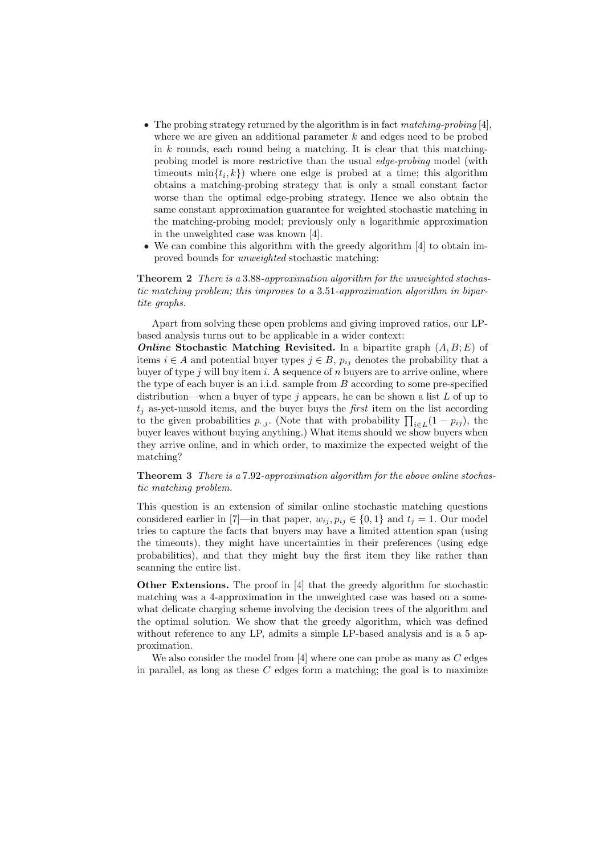- The probing strategy returned by the algorithm is in fact matching-probing [4], where we are given an additional parameter  $k$  and edges need to be probed in  $k$  rounds, each round being a matching. It is clear that this matchingprobing model is more restrictive than the usual edge-probing model (with timeouts  $\min\{t_i, k\}$  where one edge is probed at a time; this algorithm obtains a matching-probing strategy that is only a small constant factor worse than the optimal edge-probing strategy. Hence we also obtain the same constant approximation guarantee for weighted stochastic matching in the matching-probing model; previously only a logarithmic approximation in the unweighted case was known [4].
- We can combine this algorithm with the greedy algorithm [4] to obtain improved bounds for unweighted stochastic matching:

Theorem 2 There is a 3.88-approximation algorithm for the unweighted stochastic matching problem; this improves to a 3.51-approximation algorithm in bipartite graphs.

Apart from solving these open problems and giving improved ratios, our LPbased analysis turns out to be applicable in a wider context:

**Online Stochastic Matching Revisited.** In a bipartite graph  $(A, B; E)$  of items  $i \in A$  and potential buyer types  $j \in B$ ,  $p_{ij}$  denotes the probability that a buyer of type  $j$  will buy item i. A sequence of n buyers are to arrive online, where the type of each buyer is an i.i.d. sample from  $B$  according to some pre-specified distribution—when a buyer of type j appears, he can be shown a list  $L$  of up to  $t_i$  as-yet-unsold items, and the buyer buys the *first* item on the list according  $t_j$  as-yet-unsold items, and the buyer buys the *first* from on the ist according<br>to the given probabilities  $p_{\cdot,j}$ . (Note that with probability  $\prod_{i\in L}(1-p_{ij})$ , the buyer leaves without buying anything.) What items should we show buyers when they arrive online, and in which order, to maximize the expected weight of the matching?

Theorem 3 There is a 7.92-approximation algorithm for the above online stochastic matching problem.

This question is an extension of similar online stochastic matching questions considered earlier in [7]—in that paper,  $w_{ij}, p_{ij} \in \{0, 1\}$  and  $t_j = 1$ . Our model tries to capture the facts that buyers may have a limited attention span (using the timeouts), they might have uncertainties in their preferences (using edge probabilities), and that they might buy the first item they like rather than scanning the entire list.

Other Extensions. The proof in [4] that the greedy algorithm for stochastic matching was a 4-approximation in the unweighted case was based on a somewhat delicate charging scheme involving the decision trees of the algorithm and the optimal solution. We show that the greedy algorithm, which was defined without reference to any LP, admits a simple LP-based analysis and is a 5 approximation.

We also consider the model from  $[4]$  where one can probe as many as C edges in parallel, as long as these  $C$  edges form a matching; the goal is to maximize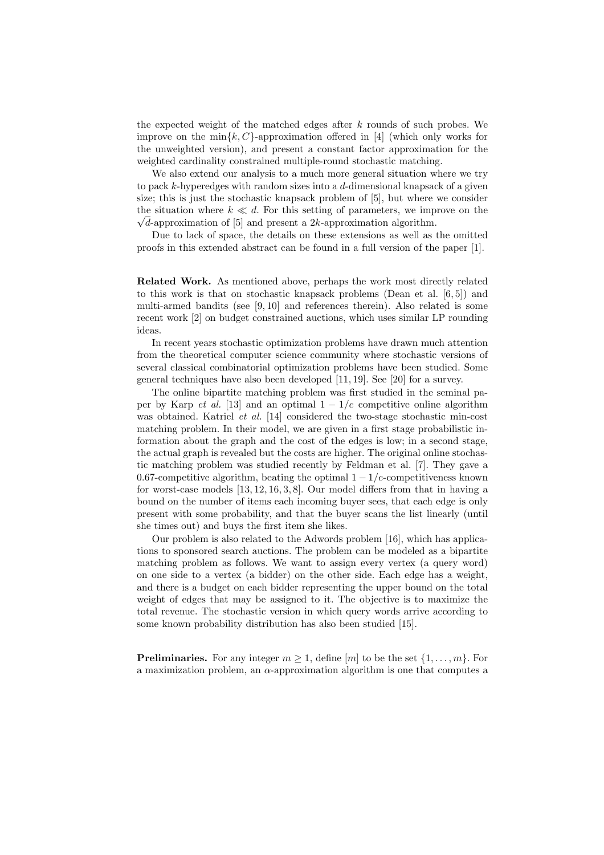the expected weight of the matched edges after  $k$  rounds of such probes. We improve on the min $\{k, C\}$ -approximation offered in [4] (which only works for the unweighted version), and present a constant factor approximation for the weighted cardinality constrained multiple-round stochastic matching.

We also extend our analysis to a much more general situation where we try to pack  $k$ -hyperedges with random sizes into a  $d$ -dimensional knapsack of a given size; this is just the stochastic knapsack problem of [5], but where we consider the situation where  $k \ll d$ . For this setting of parameters, we improve on the  $\sqrt{d}$ -approximation of [5] and present a 2k-approximation algorithm.

Due to lack of space, the details on these extensions as well as the omitted proofs in this extended abstract can be found in a full version of the paper [1].

Related Work. As mentioned above, perhaps the work most directly related to this work is that on stochastic knapsack problems (Dean et al. [6, 5]) and multi-armed bandits (see [9, 10] and references therein). Also related is some recent work [2] on budget constrained auctions, which uses similar LP rounding ideas.

In recent years stochastic optimization problems have drawn much attention from the theoretical computer science community where stochastic versions of several classical combinatorial optimization problems have been studied. Some general techniques have also been developed [11, 19]. See [20] for a survey.

The online bipartite matching problem was first studied in the seminal paper by Karp et al. [13] and an optimal  $1 - 1/e$  competitive online algorithm was obtained. Katriel *et al.* [14] considered the two-stage stochastic min-cost matching problem. In their model, we are given in a first stage probabilistic information about the graph and the cost of the edges is low; in a second stage, the actual graph is revealed but the costs are higher. The original online stochastic matching problem was studied recently by Feldman et al. [7]. They gave a 0.67-competitive algorithm, beating the optimal  $1 - 1/e$ -competitiveness known for worst-case models [13, 12, 16, 3, 8]. Our model differs from that in having a bound on the number of items each incoming buyer sees, that each edge is only present with some probability, and that the buyer scans the list linearly (until she times out) and buys the first item she likes.

Our problem is also related to the Adwords problem [16], which has applications to sponsored search auctions. The problem can be modeled as a bipartite matching problem as follows. We want to assign every vertex (a query word) on one side to a vertex (a bidder) on the other side. Each edge has a weight, and there is a budget on each bidder representing the upper bound on the total weight of edges that may be assigned to it. The objective is to maximize the total revenue. The stochastic version in which query words arrive according to some known probability distribution has also been studied [15].

**Preliminaries.** For any integer  $m \geq 1$ , define  $[m]$  to be the set  $\{1, \ldots, m\}$ . For a maximization problem, an  $\alpha$ -approximation algorithm is one that computes a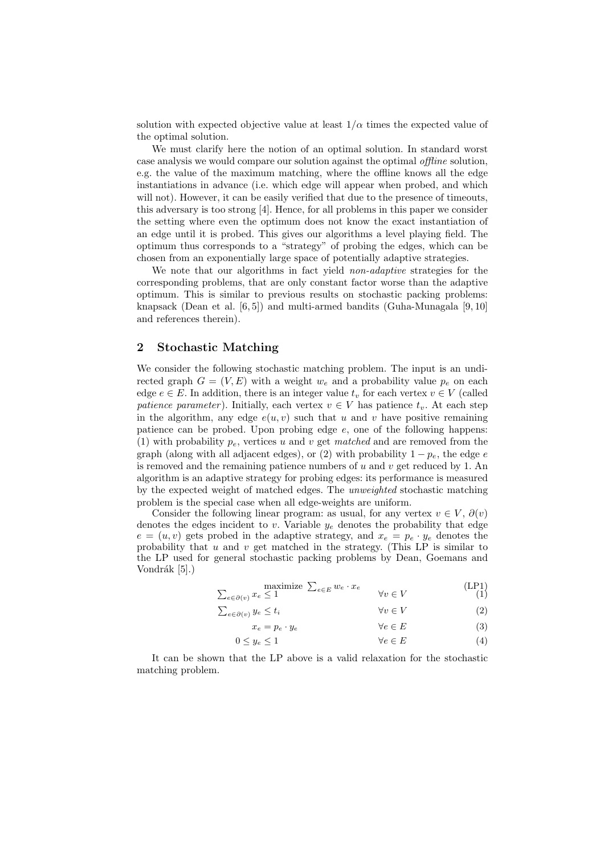solution with expected objective value at least  $1/\alpha$  times the expected value of the optimal solution.

We must clarify here the notion of an optimal solution. In standard worst case analysis we would compare our solution against the optimal offline solution, e.g. the value of the maximum matching, where the offline knows all the edge instantiations in advance (i.e. which edge will appear when probed, and which will not). However, it can be easily verified that due to the presence of timeouts, this adversary is too strong [4]. Hence, for all problems in this paper we consider the setting where even the optimum does not know the exact instantiation of an edge until it is probed. This gives our algorithms a level playing field. The optimum thus corresponds to a "strategy" of probing the edges, which can be chosen from an exponentially large space of potentially adaptive strategies.

We note that our algorithms in fact yield *non-adaptive* strategies for the corresponding problems, that are only constant factor worse than the adaptive optimum. This is similar to previous results on stochastic packing problems: knapsack (Dean et al. [6, 5]) and multi-armed bandits (Guha-Munagala [9, 10] and references therein).

#### 2 Stochastic Matching

We consider the following stochastic matching problem. The input is an undirected graph  $G = (V, E)$  with a weight  $w_e$  and a probability value  $p_e$  on each edge  $e \in E$ . In addition, there is an integer value  $t_v$  for each vertex  $v \in V$  (called patience parameter). Initially, each vertex  $v \in V$  has patience  $t_v$ . At each step in the algorithm, any edge  $e(u, v)$  such that u and v have positive remaining patience can be probed. Upon probing edge  $e$ , one of the following happens: (1) with probability  $p_e$ , vertices u and v get matched and are removed from the graph (along with all adjacent edges), or (2) with probability  $1 - p_e$ , the edge e is removed and the remaining patience numbers of  $u$  and  $v$  get reduced by 1. An algorithm is an adaptive strategy for probing edges: its performance is measured by the expected weight of matched edges. The unweighted stochastic matching problem is the special case when all edge-weights are uniform.

Consider the following linear program: as usual, for any vertex  $v \in V$ ,  $\partial(v)$ denotes the edges incident to v. Variable  $y_e$  denotes the probability that edge  $e = (u, v)$  gets probed in the adaptive strategy, and  $x_e = p_e \cdot y_e$  denotes the probability that  $u$  and  $v$  get matched in the strategy. (This LP is similar to the LP used for general stochastic packing problems by Dean, Goemans and Vondrák  $[5]$ .)

$$
\sum_{e \in \partial(v)} x_e \le 1 \qquad \text{(LP1)}
$$
\n
$$
\sum_{e \in E} w_e \cdot x_e \qquad \forall v \in V \qquad (LP1)
$$

$$
\sum_{e \in \partial(v)} y_e \le t_i \qquad \forall v \in V \tag{2}
$$

$$
x_e = p_e \cdot y_e \qquad \qquad \forall e \in E \tag{3}
$$

$$
0 \le y_e \le 1 \qquad \qquad \forall e \in E \tag{4}
$$

It can be shown that the LP above is a valid relaxation for the stochastic matching problem.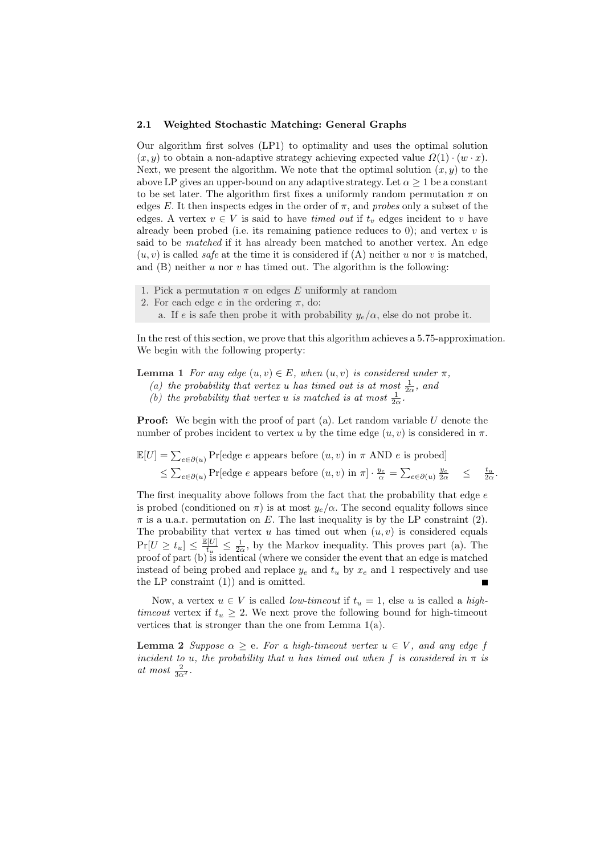#### 2.1 Weighted Stochastic Matching: General Graphs

Our algorithm first solves (LP1) to optimality and uses the optimal solution  $(x, y)$  to obtain a non-adaptive strategy achieving expected value  $\Omega(1) \cdot (w \cdot x)$ . Next, we present the algorithm. We note that the optimal solution  $(x, y)$  to the above LP gives an upper-bound on any adaptive strategy. Let  $\alpha > 1$  be a constant to be set later. The algorithm first fixes a uniformly random permutation  $\pi$  on edges E. It then inspects edges in the order of  $\pi$ , and probes only a subset of the edges. A vertex  $v \in V$  is said to have *timed out* if  $t_v$  edges incident to v have already been probed (i.e. its remaining patience reduces to 0); and vertex  $v$  is said to be *matched* if it has already been matched to another vertex. An edge  $(u, v)$  is called *safe* at the time it is considered if (A) neither u nor v is matched, and  $(B)$  neither u nor v has timed out. The algorithm is the following:

- 1. Pick a permutation  $\pi$  on edges E uniformly at random
- 2. For each edge  $e$  in the ordering  $\pi$ , do:
- a. If e is safe then probe it with probability  $y_e/\alpha$ , else do not probe it.

In the rest of this section, we prove that this algorithm achieves a 5.75-approximation. We begin with the following property:

**Lemma 1** For any edge  $(u, v) \in E$ , when  $(u, v)$  is considered under  $\pi$ ,

- (a) the probability that vertex u has timed out is at most  $\frac{1}{2\alpha}$ , and
- (b) the probability that vertex u is matched is at most  $\frac{1}{2\alpha}$ .

**Proof:** We begin with the proof of part  $(a)$ . Let random variable U denote the number of probes incident to vertex u by the time edge  $(u, v)$  is considered in  $\pi$ .

$$
\mathbb{E}[U] = \sum_{e \in \partial(u)} \Pr[\text{edge } e \text{ appears before } (u, v) \text{ in } \pi \text{ AND } e \text{ is probed}]
$$
  

$$
\leq \sum_{e \in \partial(u)} \Pr[\text{edge } e \text{ appears before } (u, v) \text{ in } \pi] \cdot \frac{y_e}{\alpha} = \sum_{e \in \partial(u)} \frac{y_e}{2\alpha} \leq \frac{t_u}{2\alpha}.
$$

The first inequality above follows from the fact that the probability that edge  $e$ is probed (conditioned on  $\pi$ ) is at most  $y_e/\alpha$ . The second equality follows since  $\pi$  is a u.a.r. permutation on E. The last inequality is by the LP constraint (2). The probability that vertex u has timed out when  $(u, v)$  is considered equals  $Pr[U \ge t_u] \le \frac{\mathbb{E}[U]}{t_u}$  $\frac{d[U]}{t_u} \leq \frac{1}{2\alpha}$ , by the Markov inequality. This proves part (a). The proof of part (b) is identical (where we consider the event that an edge is matched instead of being probed and replace  $y_e$  and  $t_u$  by  $x_e$  and 1 respectively and use the LP constraint (1)) and is omitted.

Now, a vertex  $u \in V$  is called *low-timeout* if  $t_u = 1$ , else u is called a *high*timeout vertex if  $t_u \geq 2$ . We next prove the following bound for high-timeout vertices that is stronger than the one from Lemma 1(a).

**Lemma 2** Suppose  $\alpha \geq e$ . For a high-timeout vertex  $u \in V$ , and any edge f incident to u, the probability that u has timed out when f is considered in  $\pi$  is at most  $\frac{2}{3\alpha^2}$ .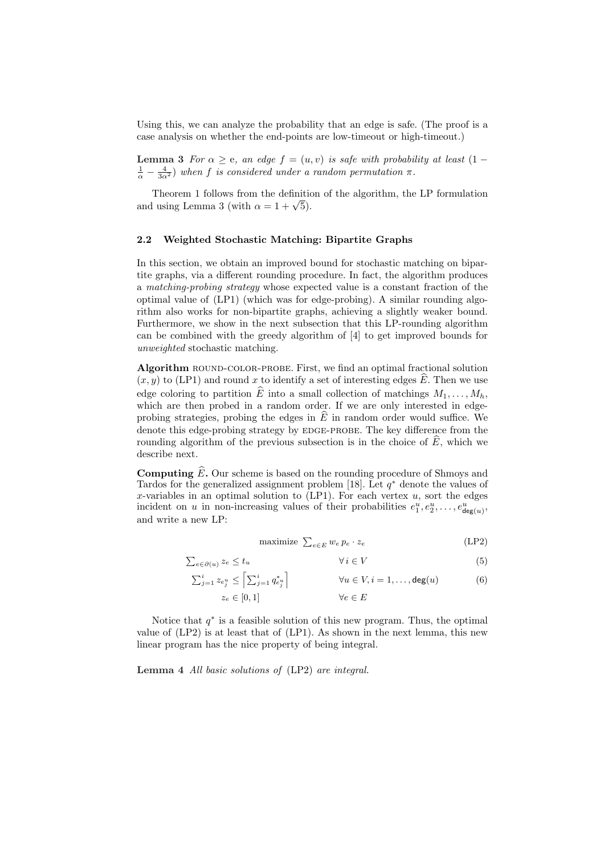Using this, we can analyze the probability that an edge is safe. (The proof is a case analysis on whether the end-points are low-timeout or high-timeout.)

**Lemma 3** For  $\alpha \geq e$ , an edge  $f = (u, v)$  is safe with probability at least  $(1 \frac{1}{\alpha} - \frac{4}{3\alpha^2}$ ) when f is considered under a random permutation  $\pi$ .

Theorem 1 follows from the definition of the algorithm, the LP formulation Theorem 1 follows from the definition<br>and using Lemma 3 (with  $\alpha = 1 + \sqrt{5}$ ).

## 2.2 Weighted Stochastic Matching: Bipartite Graphs

In this section, we obtain an improved bound for stochastic matching on bipartite graphs, via a different rounding procedure. In fact, the algorithm produces a matching-probing strategy whose expected value is a constant fraction of the optimal value of (LP1) (which was for edge-probing). A similar rounding algorithm also works for non-bipartite graphs, achieving a slightly weaker bound. Furthermore, we show in the next subsection that this LP-rounding algorithm can be combined with the greedy algorithm of [4] to get improved bounds for unweighted stochastic matching.

Algorithm ROUND-COLOR-PROBE. First, we find an optimal fractional solution  $(x, y)$  to (LP1) and round x to identify a set of interesting edges E. Then we use edge coloring to partition  $\widehat{E}$  into a small collection of matchings  $M_1, \ldots, M_h$ , which are then probed in a random order. If we are only interested in edgeprobing strategies, probing the edges in  $\widehat{E}$  in random order would suffice. We denote this edge-probing strategy by EDGE-PROBE. The key difference from the rounding algorithm of the previous subsection is in the choice of  $\widehat{E}$ , which we describe next.

**Computing**  $\widehat{E}$ . Our scheme is based on the rounding procedure of Shmoys and Tardos for the generalized assignment problem [18]. Let  $q^*$  denote the values of x-variables in an optimal solution to  $(LP1)$ . For each vertex u, sort the edges incident on u in non-increasing values of their probabilities  $e_1^u, e_2^u, \ldots, e_{\deg(u)}^u$ , and write a new LP:

$$
\text{maximize } \sum_{e \in E} w_e p_e \cdot z_e \tag{LP2}
$$

$$
\sum_{e \in \partial(u)} z_e \le t_u \qquad \qquad \forall i \in V \tag{5}
$$

$$
\sum_{j=1}^{i} z_{e_j^u} \le \left[ \sum_{j=1}^{i} q_{e_j^u}^* \right] \qquad \forall u \in V, i = 1, ..., \deg(u)
$$
\n
$$
z_e \in [0, 1] \qquad \forall e \in E
$$
\n(6)

Notice that  $q^*$  is a feasible solution of this new program. Thus, the optimal value of (LP2) is at least that of (LP1). As shown in the next lemma, this new linear program has the nice property of being integral.

Lemma 4 All basic solutions of (LP2) are integral.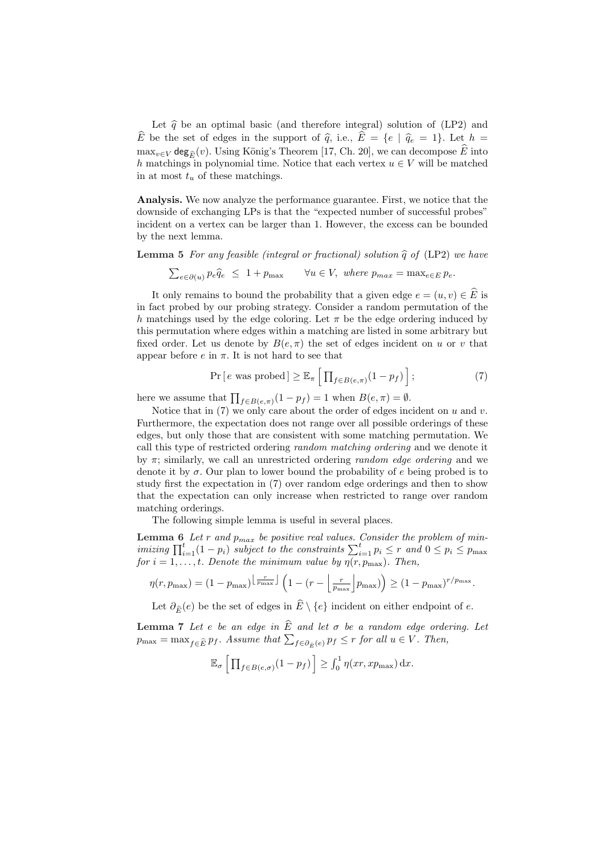Let  $\hat{q}$  be an optimal basic (and therefore integral) solution of (LP2) and  $\widehat{E}$  be the set of edges in the support of  $\widehat{q}$ , i.e.,  $\widehat{E} = \{e \mid \widehat{q}_e = 1\}$ . Let  $h =$  $\max_{v \in V}$  deg<sub> $\hat{E}(v)$ </sub>. Using König's Theorem [17, Ch. 20], we can decompose  $\hat{E}$  into h matchings in polynomial time. Notice that each vertex  $u \in V$  will be matched in at most  $t_u$  of these matchings.

Analysis. We now analyze the performance guarantee. First, we notice that the downside of exchanging LPs is that the "expected number of successful probes" incident on a vertex can be larger than 1. However, the excess can be bounded by the next lemma.

**Lemma 5** For any feasible (integral or fractional) solution  $\hat{q}$  of (LP2) we have

 $\overline{ }$  $e \in \partial(u) \: p_e \hat{q}_e \: \leq \: 1 + p_{\text{max}} \quad \forall u \in V, \text{ where } p_{\text{max}} = \max_{e \in E} p_e.$ 

It only remains to bound the probability that a given edge  $e = (u, v) \in \widehat{E}$  is in fact probed by our probing strategy. Consider a random permutation of the h matchings used by the edge coloring. Let  $\pi$  be the edge ordering induced by this permutation where edges within a matching are listed in some arbitrary but fixed order. Let us denote by  $B(e, \pi)$  the set of edges incident on u or v that appear before  $e$  in  $\pi$ . It is not hard to see that

$$
\Pr\left[e \text{ was probed}\right] \geq \mathbb{E}_{\pi}\left[\prod_{f \in B(e,\pi)} (1 - p_f)\right];\tag{7}
$$

here we assume that  $\prod_{f \in B(e,\pi)} (1 - p_f) = 1$  when  $B(e,\pi) = \emptyset$ .

Notice that in  $(7)$  we only care about the order of edges incident on u and v. Furthermore, the expectation does not range over all possible orderings of these edges, but only those that are consistent with some matching permutation. We call this type of restricted ordering random matching ordering and we denote it by  $\pi$ ; similarly, we call an unrestricted ordering *random edge ordering* and we denote it by  $\sigma$ . Our plan to lower bound the probability of e being probed is to study first the expectation in (7) over random edge orderings and then to show that the expectation can only increase when restricted to range over random matching orderings.

The following simple lemma is useful in several places.

**Lemma 6** Let r and  $p_{max}$  be positive real values. Consider the problem of min-**Lemma 6** Let r and  $p_{max}$  be positive real values. Consider the problem of minimizing  $\prod_{i=1}^{t} (1-p_i)$  subject to the constraints  $\sum_{i=1}^{t} p_i \le r$  and  $0 \le p_i \le p_{max}$ for  $i = 1, \ldots, t$ . Denote the minimum value by  $\eta(r, p_{\text{max}})$ . Then,

$$
\eta(r,p_{\max}) = (1-p_{\max})\left\lfloor \frac{r}{p_{\max}} \right\rfloor \left(1 - (r - \left\lfloor \frac{r}{p_{\max}} \right\rfloor p_{\max})\right) \ge (1-p_{\max})^{r/p_{\max}}.
$$

Let  $\partial_{\widehat{E}}(e)$  be the set of edges in  $\widehat{E}\setminus \{e\}$  incident on either endpoint of e.

**Lemma 7** Let e be an edge in  $\widehat{E}$  and let  $\sigma$  be a random edge ordering. Let  $p_{\text{max}} = \max_{f \in \widehat{E}} p_f$ . Assume that  $\sum_{f \in \partial_{\widehat{E}}(e)} p_f \leq r$  for all  $u \in V$ . Then,

$$
\mathbb{E}_{\sigma}\left[\prod_{f\in B(e,\sigma)}(1-p_f)\right] \geq \int_0^1 \eta(xr, x p_{\max}) dx.
$$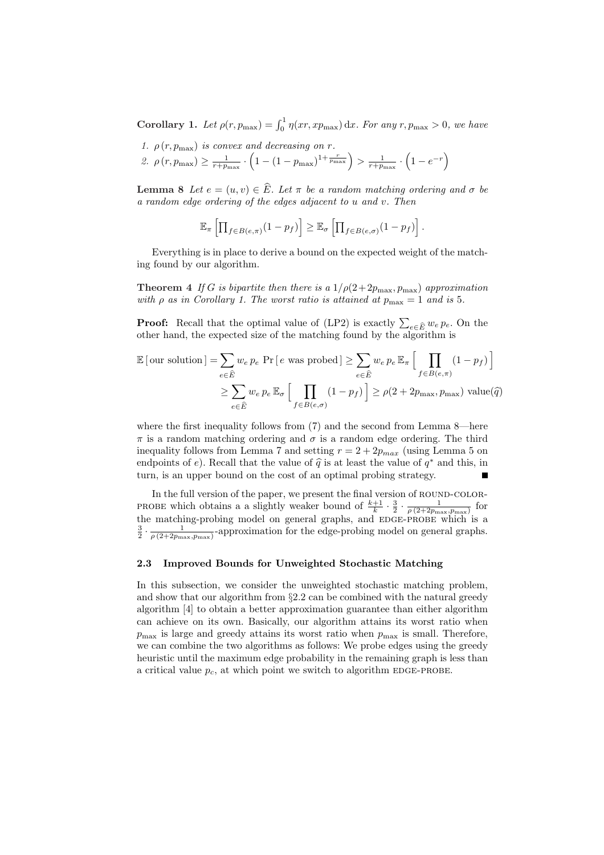**Corollary 1.** Let  $\rho(r, p_{\text{max}}) = \int_0^1 \eta(xr, xp_{\text{max}}) dx$ . For any  $r, p_{\text{max}} > 0$ , we have

1. 
$$
\rho(r, p_{\max})
$$
 is convex and decreasing on r.  
\n2.  $\rho(r, p_{\max}) \ge \frac{1}{r + p_{\max}} \cdot \left(1 - (1 - p_{\max})^{1 + \frac{r}{p_{\max}}}\right) > \frac{1}{r + p_{\max}} \cdot \left(1 - e^{-r}\right)$ 

**Lemma 8** Let  $e = (u, v) \in \widehat{E}$ . Let  $\pi$  be a random matching ordering and  $\sigma$  be a random edge ordering of the edges adjacent to u and v. Then

$$
\mathbb{E}_{\pi}\left[\prod_{f\in B(e,\pi)}(1-p_f)\right] \geq \mathbb{E}_{\sigma}\left[\prod_{f\in B(e,\sigma)}(1-p_f)\right].
$$

Everything is in place to derive a bound on the expected weight of the matching found by our algorithm.

**Theorem 4** If G is bipartite then there is a  $1/\rho(2+2p_{\text{max}}, p_{\text{max}})$  approximation with  $\rho$  as in Corollary 1. The worst ratio is attained at  $p_{\text{max}} = 1$  and is 5.

**Proof:** Recall that the optimal value of (LP2) is exactly  $\sum_{e \in \hat{E}} w_e p_e$ . On the other hand, the expected size of the matching found by the algorithm is

$$
\mathbb{E}\left[\text{our solution}\right] = \sum_{e \in \widehat{E}} w_e p_e \text{ Pr}\left[e \text{ was probed}\right] \ge \sum_{e \in \widehat{E}} w_e p_e \mathbb{E}_{\pi} \left[\prod_{f \in B(e,\pi)} (1-p_f)\right]
$$

$$
\ge \sum_{e \in \widehat{E}} w_e p_e \mathbb{E}_{\sigma} \left[\prod_{f \in B(e,\sigma)} (1-p_f)\right] \ge \rho(2 + 2p_{\text{max}}, p_{\text{max}}) \text{ value}(\widehat{q})
$$

where the first inequality follows from (7) and the second from Lemma 8—here  $\pi$  is a random matching ordering and  $\sigma$  is a random edge ordering. The third inequality follows from Lemma 7 and setting  $r = 2 + 2p_{max}$  (using Lemma 5 on endpoints of e). Recall that the value of  $\hat{q}$  is at least the value of  $q^*$  and this, in turn, is an upper bound on the cost of an optimal probing strategy. п

In the full version of the paper, we present the final version of ROUND-COLOR-PROBE which obtains a a slightly weaker bound of  $\frac{k+1}{k} \cdot \frac{3}{2} \cdot \frac{1}{\rho(2+2p_{\max}, p_{\max})}$  for the matching-probing model on general graphs, and EDGE-PROBE which is a  $\frac{3}{2} \cdot \frac{1}{\rho(2+2p_{\max},p_{\max})}$ -approximation for the edge-probing model on general graphs.

### 2.3 Improved Bounds for Unweighted Stochastic Matching

In this subsection, we consider the unweighted stochastic matching problem, and show that our algorithm from  $\S 2.2$  can be combined with the natural greedy algorithm [4] to obtain a better approximation guarantee than either algorithm can achieve on its own. Basically, our algorithm attains its worst ratio when  $p_{\text{max}}$  is large and greedy attains its worst ratio when  $p_{\text{max}}$  is small. Therefore, we can combine the two algorithms as follows: We probe edges using the greedy heuristic until the maximum edge probability in the remaining graph is less than a critical value  $p_c$ , at which point we switch to algorithm EDGE-PROBE.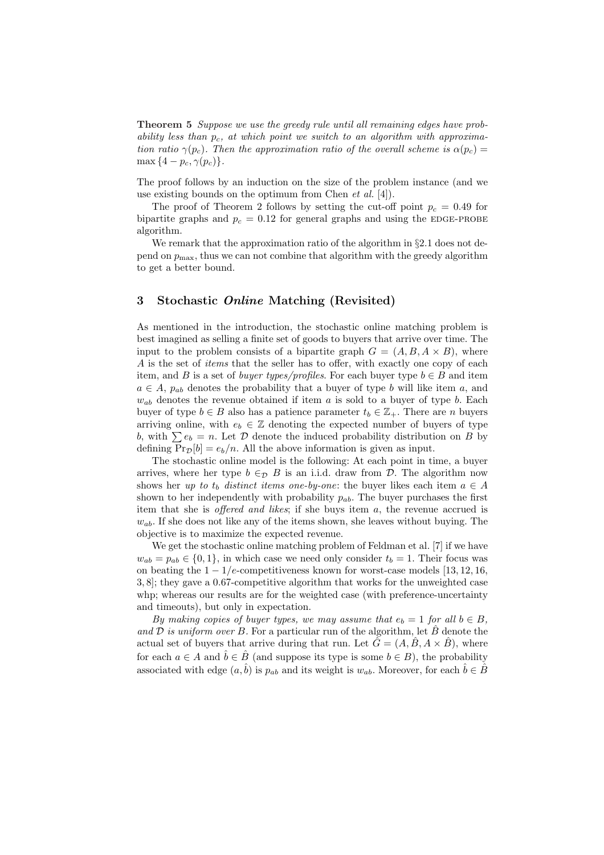Theorem 5 Suppose we use the greedy rule until all remaining edges have probability less than  $p_c$ , at which point we switch to an algorithm with approximation ratio  $\gamma(p_c)$ . Then the approximation ratio of the overall scheme is  $\alpha(p_c)$  = max  $\{4-p_c, \gamma(p_c)\}.$ 

The proof follows by an induction on the size of the problem instance (and we use existing bounds on the optimum from Chen  $et \ al. \ [4]$ .

The proof of Theorem 2 follows by setting the cut-off point  $p_c = 0.49$  for bipartite graphs and  $p_c = 0.12$  for general graphs and using the EDGE-PROBE algorithm.

We remark that the approximation ratio of the algorithm in  $\S2.1$  does not depend on  $p_{\text{max}}$ , thus we can not combine that algorithm with the greedy algorithm to get a better bound.

# 3 Stochastic Online Matching (Revisited)

As mentioned in the introduction, the stochastic online matching problem is best imagined as selling a finite set of goods to buyers that arrive over time. The input to the problem consists of a bipartite graph  $G = (A, B, A \times B)$ , where A is the set of *items* that the seller has to offer, with exactly one copy of each item, and B is a set of *buyer types/profiles*. For each buyer type  $b \in B$  and item  $a \in A$ ,  $p_{ab}$  denotes the probability that a buyer of type b will like item a, and  $w_{ab}$  denotes the revenue obtained if item  $a$  is sold to a buyer of type  $b$ . Each buyer of type  $b \in B$  also has a patience parameter  $t_b \in \mathbb{Z}_+$ . There are n buyers arriving online, with  $e_b \in \mathbb{Z}$  denoting the expected number of buyers of type b, with  $\sum e_b = n$ . Let  $\mathcal D$  denote the induced probability distribution on B by defining  $Pr_{\mathcal{D}}[b] = e_b/n$ . All the above information is given as input.

The stochastic online model is the following: At each point in time, a buyer arrives, where her type  $b \in_{\mathcal{D}} B$  is an i.i.d. draw from  $\mathcal{D}$ . The algorithm now shows her up to  $t_b$  distinct items one-by-one: the buyer likes each item  $a \in A$ shown to her independently with probability  $p_{ab}$ . The buyer purchases the first item that she is offered and likes; if she buys item a, the revenue accrued is  $w_{ab}$ . If she does not like any of the items shown, she leaves without buying. The objective is to maximize the expected revenue.

We get the stochastic online matching problem of Feldman et al. [7] if we have  $w_{ab} = p_{ab} \in \{0, 1\}$ , in which case we need only consider  $t_b = 1$ . Their focus was on beating the  $1 - 1/e$ -competitiveness known for worst-case models [13, 12, 16, 3, 8]; they gave a 0.67-competitive algorithm that works for the unweighted case whp; whereas our results are for the weighted case (with preference-uncertainty and timeouts), but only in expectation.

By making copies of buyer types, we may assume that  $e_b = 1$  for all  $b \in B$ , and  $\mathcal D$  is uniform over B. For a particular run of the algorithm, let B denote the actual set of buyers that arrive during that run. Let  $\hat{G} = (A, \hat{B}, A \times \hat{B})$ , where for each  $a \in A$  and  $\hat{b} \in \hat{B}$  (and suppose its type is some  $b \in B$ ), the probability associated with edge  $(a, \hat{b})$  is  $p_{ab}$  and its weight is  $w_{ab}$ . Moreover, for each  $\hat{b} \in \hat{B}$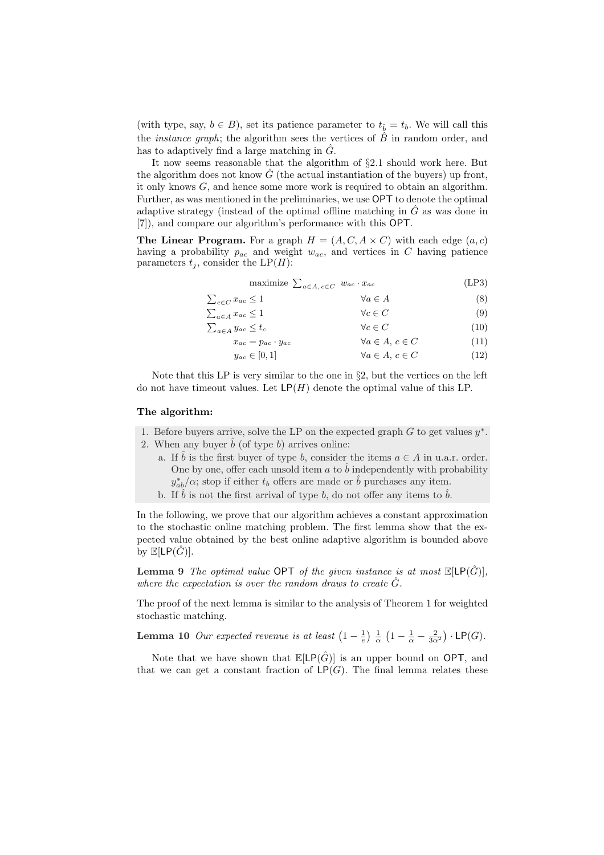(with type, say,  $b \in B$ ), set its patience parameter to  $t_{\hat{b}} = t_b$ . We will call this the *instance graph*; the algorithm sees the vertices of  $\hat{B}$  in random order, and has to adaptively find a large matching in  $\hat{G}$ .

It now seems reasonable that the algorithm of §2.1 should work here. But the algorithm does not know  $\hat{G}$  (the actual instantiation of the buyers) up front, it only knows  $G$ , and hence some more work is required to obtain an algorithm. Further, as was mentioned in the preliminaries, we use OPT to denote the optimal adaptive strategy (instead of the optimal offline matching in  $\tilde{G}$  as was done in [7]), and compare our algorithm's performance with this OPT.

**The Linear Program.** For a graph  $H = (A, C, A \times C)$  with each edge  $(a, c)$ having a probability  $p_{ac}$  and weight  $w_{ac}$ , and vertices in C having patience parameters  $t_j$ , consider the LP(H):

maximize  $\sum_{a \in A, c \in C} w_{ac} \cdot x_{ac}$  (LP3)

$$
\sum_{c \in C} x_{ac} \le 1 \qquad \forall a \in A \qquad (8)
$$
\n
$$
\sum_{a \in A} x_{ac} \le 1 \qquad \forall c \in C \qquad (9)
$$
\n
$$
x_{ac} = p_{ac} \cdot y_{ac} \qquad \forall a \in A, c \in C \qquad (10)
$$
\n
$$
y_{ac} \in [0,1] \qquad \forall a \in A, c \in C \qquad (12)
$$

Note that this LP is very similar to the one in  $\S$ 2, but the vertices on the left do not have timeout values. Let  $\mathsf{LP}(H)$  denote the optimal value of this LP.

#### The algorithm:

- 1. Before buyers arrive, solve the LP on the expected graph  $G$  to get values  $y^*$ .
- 2. When any buyer  $\hat{b}$  (of type b) arrives online:
	- a. If  $\hat{b}$  is the first buyer of type b, consider the items  $a \in A$  in u.a.r. order. One by one, offer each unsold item a to  $\hat{b}$  independently with probability  $y_{ab}^*/\alpha$ ; stop if either  $t_b$  offers are made or  $\hat{b}$  purchases any item.
	- b. If  $\hat{b}$  is not the first arrival of type b, do not offer any items to  $\hat{b}$ .

In the following, we prove that our algorithm achieves a constant approximation to the stochastic online matching problem. The first lemma show that the expected value obtained by the best online adaptive algorithm is bounded above by  $\mathbb{E}[\mathsf{LP}(G)].$ 

**Lemma 9** The optimal value OPT of the given instance is at most  $\mathbb{E}[\mathsf{LP}(\hat{G})]$ , where the expectation is over the random draws to create  $\hat{G}$ .

The proof of the next lemma is similar to the analysis of Theorem 1 for weighted stochastic matching.

**Lemma 10** Our expected revenue is at least  $\left(1 - \frac{1}{e}\right)$  $\frac{1}{\alpha}$ ¡  $1-\frac{1}{\alpha}-\frac{2}{3\alpha^2}$ ¢  $\cdot$  LP $(G)$ .

Note that we have shown that  $\mathbb{E}[\mathsf{LP}(\hat{G})]$  is an upper bound on **OPT**, and that we can get a constant fraction of  $\mathsf{LP}(G)$ . The final lemma relates these